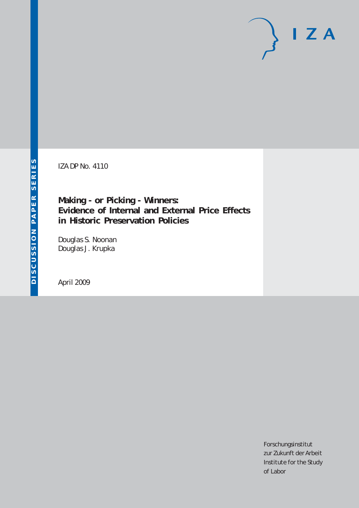IZA DP No. 4110

**Making - or Picking - Winners: Evidence of Internal and External Price Effects in Historic Preservation Policies**

Douglas S. Noonan Douglas J. Krupka

April 2009

Forschungsinstitut zur Zukunft der Arbeit Institute for the Study of Labor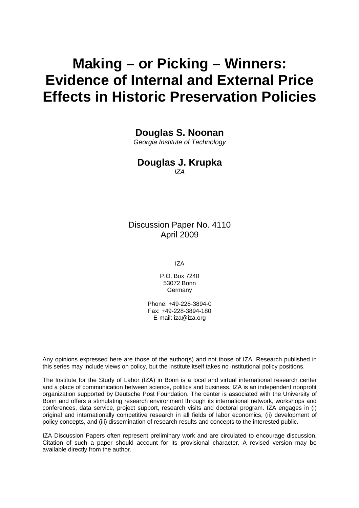# **Making – or Picking – Winners: Evidence of Internal and External Price Effects in Historic Preservation Policies**

**Douglas S. Noonan** 

*Georgia Institute of Technology* 

## **Douglas J. Krupka**

*IZA* 

Discussion Paper No. 4110 April 2009

IZA

P.O. Box 7240 53072 Bonn Germany

Phone: +49-228-3894-0 Fax: +49-228-3894-180 E-mail: [iza@iza.org](mailto:iza@iza.org)

Any opinions expressed here are those of the author(s) and not those of IZA. Research published in this series may include views on policy, but the institute itself takes no institutional policy positions.

The Institute for the Study of Labor (IZA) in Bonn is a local and virtual international research center and a place of communication between science, politics and business. IZA is an independent nonprofit organization supported by Deutsche Post Foundation. The center is associated with the University of Bonn and offers a stimulating research environment through its international network, workshops and conferences, data service, project support, research visits and doctoral program. IZA engages in (i) original and internationally competitive research in all fields of labor economics, (ii) development of policy concepts, and (iii) dissemination of research results and concepts to the interested public.

IZA Discussion Papers often represent preliminary work and are circulated to encourage discussion. Citation of such a paper should account for its provisional character. A revised version may be available directly from the author.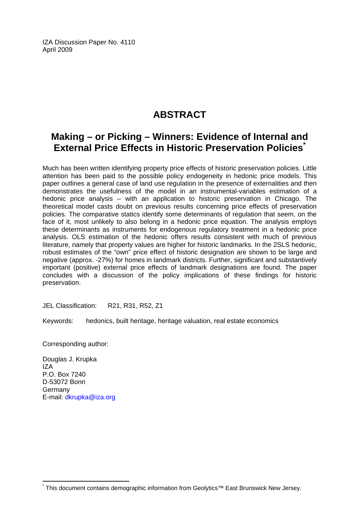IZA Discussion Paper No. 4110 April 2009

## **ABSTRACT**

## **Making – or Picking – Winners: Evidence of Internal and External Price Effects in Historic Preservation Policies[\\*](#page-2-0)**

Much has been written identifying property price effects of historic preservation policies. Little attention has been paid to the possible policy endogeneity in hedonic price models. This paper outlines a general case of land use regulation in the presence of externalities and then demonstrates the usefulness of the model in an instrumental-variables estimation of a hedonic price analysis – with an application to historic preservation in Chicago. The theoretical model casts doubt on previous results concerning price effects of preservation policies. The comparative statics identify some determinants of regulation that seem, on the face of it, most unlikely to also belong in a hedonic price equation. The analysis employs these determinants as instruments for endogenous regulatory treatment in a hedonic price analysis. OLS estimation of the hedonic offers results consistent with much of previous literature, namely that property values are higher for historic landmarks. In the 2SLS hedonic, robust estimates of the "own" price effect of historic designation are shown to be large and negative (approx. -27%) for homes in landmark districts. Further, significant and substantively important (positive) external price effects of landmark designations are found. The paper concludes with a discussion of the policy implications of these findings for historic preservation.

JEL Classification: R21, R31, R52, Z1

Keywords: hedonics, built heritage, heritage valuation, real estate economics

Corresponding author:

Douglas J. Krupka IZA P.O. Box 7240 D-53072 Bonn Germany E-mail: [dkrupka@iza.org](mailto:dkrupka@iza.org)

 $\overline{a}$ \*

<span id="page-2-0"></span>This document contains demographic information from Geolytics™ East Brunswick New Jersey.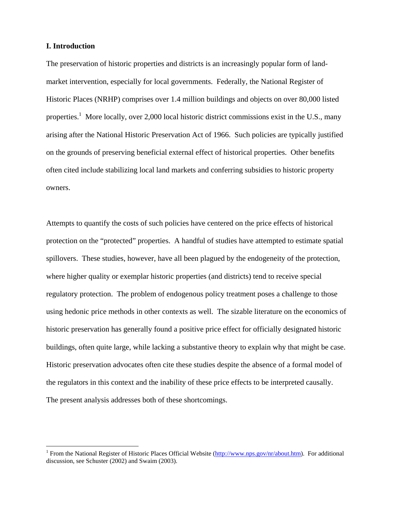#### **I. Introduction**

1

The preservation of historic properties and districts is an increasingly popular form of landmarket intervention, especially for local governments. Federally, the National Register of Historic Places (NRHP) comprises over 1.4 million buildings and objects on over 80,000 listed properties.<sup>1</sup> More locally, over 2,000 local historic district commissions exist in the U.S., many arising after the National Historic Preservation Act of 1966. Such policies are typically justified on the grounds of preserving beneficial external effect of historical properties. Other benefits often cited include stabilizing local land markets and conferring subsidies to historic property owners.

Attempts to quantify the costs of such policies have centered on the price effects of historical protection on the "protected" properties. A handful of studies have attempted to estimate spatial spillovers. These studies, however, have all been plagued by the endogeneity of the protection, where higher quality or exemplar historic properties (and districts) tend to receive special regulatory protection. The problem of endogenous policy treatment poses a challenge to those using hedonic price methods in other contexts as well. The sizable literature on the economics of historic preservation has generally found a positive price effect for officially designated historic buildings, often quite large, while lacking a substantive theory to explain why that might be case. Historic preservation advocates often cite these studies despite the absence of a formal model of the regulators in this context and the inability of these price effects to be interpreted causally. The present analysis addresses both of these shortcomings.

<span id="page-3-0"></span><sup>&</sup>lt;sup>1</sup> From the National Register of Historic Places Official Website [\(http://www.nps.gov/nr/about.htm\)](http://www.nps.gov/nr/about.htm). For additional discussion, see Schuster (2002) and Swaim (2003).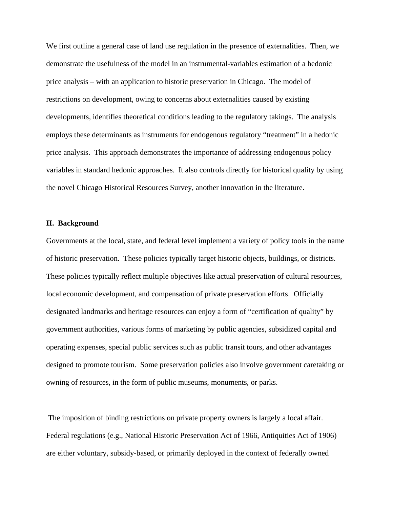We first outline a general case of land use regulation in the presence of externalities. Then, we demonstrate the usefulness of the model in an instrumental-variables estimation of a hedonic price analysis – with an application to historic preservation in Chicago. The model of restrictions on development, owing to concerns about externalities caused by existing developments, identifies theoretical conditions leading to the regulatory takings. The analysis employs these determinants as instruments for endogenous regulatory "treatment" in a hedonic price analysis. This approach demonstrates the importance of addressing endogenous policy variables in standard hedonic approaches. It also controls directly for historical quality by using the novel Chicago Historical Resources Survey, another innovation in the literature.

#### **II. Background**

Governments at the local, state, and federal level implement a variety of policy tools in the name of historic preservation. These policies typically target historic objects, buildings, or districts. These policies typically reflect multiple objectives like actual preservation of cultural resources, local economic development, and compensation of private preservation efforts. Officially designated landmarks and heritage resources can enjoy a form of "certification of quality" by government authorities, various forms of marketing by public agencies, subsidized capital and operating expenses, special public services such as public transit tours, and other advantages designed to promote tourism. Some preservation policies also involve government caretaking or owning of resources, in the form of public museums, monuments, or parks.

 The imposition of binding restrictions on private property owners is largely a local affair. Federal regulations (e.g., National Historic Preservation Act of 1966, Antiquities Act of 1906) are either voluntary, subsidy-based, or primarily deployed in the context of federally owned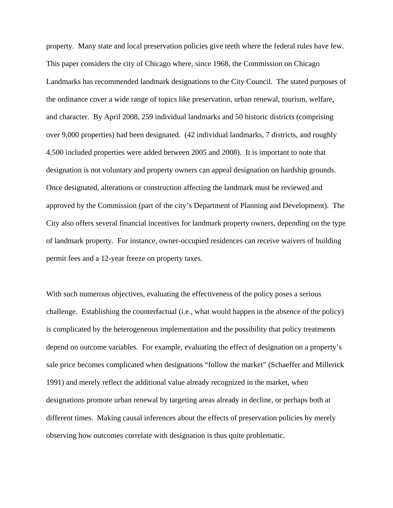property. Many state and local preservation policies give teeth where the federal rules have few. This paper considers the city of Chicago where, since 1968, the Commission on Chicago Landmarks has recommended landmark designations to the City Council. The stated purposes of the ordinance cover a wide range of topics like preservation, urban renewal, tourism, welfare, and character. By April 2008, 259 individual landmarks and 50 historic districts (comprising over 9,000 properties) had been designated. (42 individual landmarks, 7 districts, and roughly 4,500 included properties were added between 2005 and 2008). It is important to note that designation is not voluntary and property owners can appeal designation on hardship grounds. Once designated, alterations or construction affecting the landmark must be reviewed and approved by the Commission (part of the city's Department of Planning and Development). The City also offers several financial incentives for landmark property owners, depending on the type of landmark property. For instance, owner-occupied residences can receive waivers of building permit fees and a 12-year freeze on property taxes.

With such numerous objectives, evaluating the effectiveness of the policy poses a serious challenge. Establishing the counterfactual (i.e., what would happen in the absence of the policy) is complicated by the heterogeneous implementation and the possibility that policy treatments depend on outcome variables. For example, evaluating the effect of designation on a property's sale price becomes complicated when designations "follow the market" (Schaeffer and Millerick 1991) and merely reflect the additional value already recognized in the market, when designations promote urban renewal by targeting areas already in decline, or perhaps both at different times. Making causal inferences about the effects of preservation policies by merely observing how outcomes correlate with designation is thus quite problematic.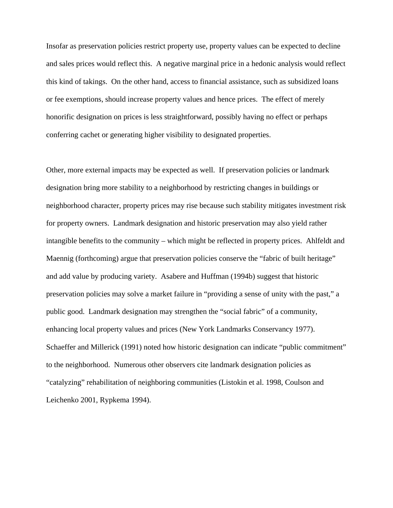Insofar as preservation policies restrict property use, property values can be expected to decline and sales prices would reflect this. A negative marginal price in a hedonic analysis would reflect this kind of takings. On the other hand, access to financial assistance, such as subsidized loans or fee exemptions, should increase property values and hence prices. The effect of merely honorific designation on prices is less straightforward, possibly having no effect or perhaps conferring cachet or generating higher visibility to designated properties.

Other, more external impacts may be expected as well. If preservation policies or landmark designation bring more stability to a neighborhood by restricting changes in buildings or neighborhood character, property prices may rise because such stability mitigates investment risk for property owners. Landmark designation and historic preservation may also yield rather intangible benefits to the community – which might be reflected in property prices. Ahlfeldt and Maennig (forthcoming) argue that preservation policies conserve the "fabric of built heritage" and add value by producing variety. Asabere and Huffman (1994b) suggest that historic preservation policies may solve a market failure in "providing a sense of unity with the past," a public good. Landmark designation may strengthen the "social fabric" of a community, enhancing local property values and prices (New York Landmarks Conservancy 1977). Schaeffer and Millerick (1991) noted how historic designation can indicate "public commitment" to the neighborhood. Numerous other observers cite landmark designation policies as "catalyzing" rehabilitation of neighboring communities (Listokin et al. 1998, Coulson and Leichenko 2001, Rypkema 1994).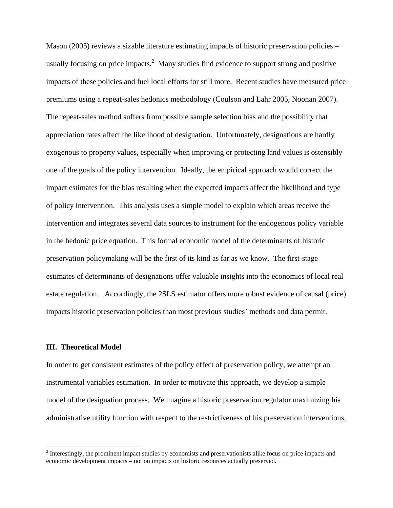Mason (2005) reviews a sizable literature estimating impacts of historic preservation policies – usually focusing on price impacts. $^2$  Many studies find evidence to support strong and positive impacts of these policies and fuel local efforts for still more. Recent studies have measured price premiums using a repeat-sales hedonics methodology (Coulson and Lahr 2005, Noonan 2007). The repeat-sales method suffers from possible sample selection bias and the possibility that appreciation rates affect the likelihood of designation. Unfortunately, designations are hardly exogenous to property values, especially when improving or protecting land values is ostensibly one of the goals of the policy intervention. Ideally, the empirical approach would correct the impact estimates for the bias resulting when the expected impacts affect the likelihood and type of policy intervention. This analysis uses a simple model to explain which areas receive the intervention and integrates several data sources to instrument for the endogenous policy variable in the hedonic price equation. This formal economic model of the determinants of historic preservation policymaking will be the first of its kind as far as we know. The first-stage estimates of determinants of designations offer valuable insights into the economics of local real estate regulation. Accordingly, the 2SLS estimator offers more robust evidence of causal (price) impacts historic preservation policies than most previous studies' methods and data permit.

#### **III. Theoretical Model**

 $\overline{a}$ 

In order to get consistent estimates of the policy effect of preservation policy, we attempt an instrumental variables estimation. In order to motivate this approach, we develop a simple model of the designation process. We imagine a historic preservation regulator maximizing his administrative utility function with respect to the restrictiveness of his preservation interventions,

<span id="page-7-0"></span> $2^{2}$  Interestingly, the prominent impact studies by economists and preservationists alike focus on price impacts and economic development impacts – not on impacts on historic resources actually preserved.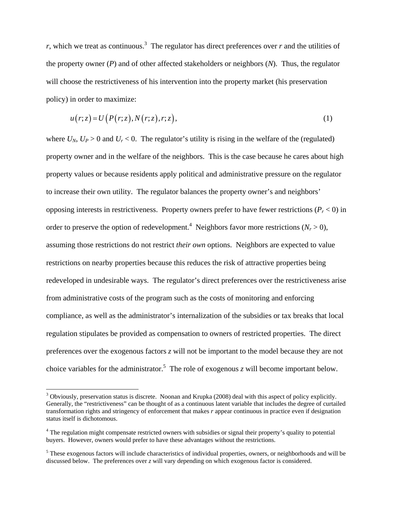$r$ , which we treat as continuous.<sup>3</sup> The regulator has direct preferences over  $r$  and the utilities of the property owner (*P*) and of other affected stakeholders or neighbors (*N*). Thus, the regulator will choose the restrictiveness of his intervention into the property market (his preservation policy) in order to maximize:

$$
u(r;z) = U(P(r;z),N(r;z),r;z),
$$
\n(1)

where  $U_N$ ,  $U_P > 0$  and  $U_r < 0$ . The regulator's utility is rising in the welfare of the (regulated) property owner and in the welfare of the neighbors. This is the case because he cares about high property values or because residents apply political and administrative pressure on the regulator to increase their own utility. The regulator balances the property owner's and neighbors' opposing interests in restrictiveness. Property owners prefer to have fewer restrictions  $(P_r < 0)$  in order to preserve the option of redevelopment.<sup>[4](#page-8-1)</sup> Neighbors favor more restrictions ( $N_r > 0$ ), assuming those restrictions do not restrict *their own* options. Neighbors are expected to value restrictions on nearby properties because this reduces the risk of attractive properties being redeveloped in undesirable ways. The regulator's direct preferences over the restrictiveness arise from administrative costs of the program such as the costs of monitoring and enforcing compliance, as well as the administrator's internalization of the subsidies or tax breaks that local regulation stipulates be provided as compensation to owners of restricted properties. The direct preferences over the exogenous factors *z* will not be important to the model because they are not choice variables for the administrator.<sup>5</sup> The role of exogenous *z* will become important below.

<span id="page-8-0"></span><sup>&</sup>lt;sup>3</sup> Obviously, preservation status is discrete. Noonan and Krupka (2008) deal with this aspect of policy explicitly. Generally, the "restrictiveness" can be thought of as a continuous latent variable that includes the degree of curtailed transformation rights and stringency of enforcement that makes *r* appear continuous in practice even if designation status itself is dichotomous.

<span id="page-8-1"></span><sup>&</sup>lt;sup>4</sup> The regulation might compensate restricted owners with subsidies or signal their property's quality to potential buyers. However, owners would prefer to have these advantages without the restrictions.

<span id="page-8-2"></span><sup>&</sup>lt;sup>5</sup> These exogenous factors will include characteristics of individual properties, owners, or neighborhoods and will be discussed below. The preferences over *z* will vary depending on which exogenous factor is considered.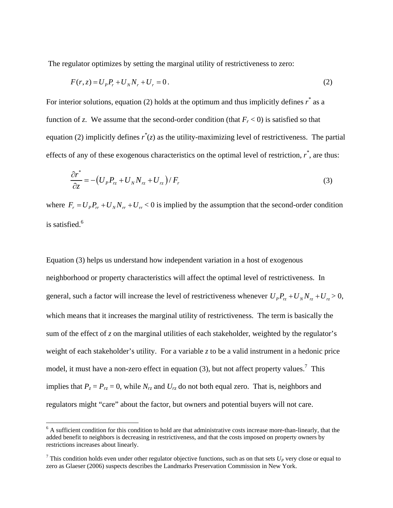The regulator optimizes by setting the marginal utility of restrictiveness to zero:

$$
F(r, z) = U_p P_r + U_N N_r + U_r = 0.
$$
\n(2)

For interior solutions, equation (2) holds at the optimum and thus implicitly defines  $r^*$  as a function of *z*. We assume that the second-order condition (that  $F_r < 0$ ) is satisfied so that equation (2) implicitly defines  $r^*(z)$  as the utility-maximizing level of restrictiveness. The partial effects of any of these exogenous characteristics on the optimal level of restriction, *r \** , are thus:

$$
\frac{\partial r^*}{\partial z} = -\left(U_p P_{rz} + U_N N_{rz} + U_{rz}\right) / F_r \tag{3}
$$

where  $F_r = U_p P_r + U_p N_r + U_r < 0$  is implied by the assumption that the second-order condition is satisfied. [6](#page-9-0)

Equation (3) helps us understand how independent variation in a host of exogenous neighborhood or property characteristics will affect the optimal level of restrictiveness. In general, such a factor will increase the level of restrictiveness whenever  $U_p P_{r_z} + U_N N_{r_z} + U_r > 0$ , which means that it increases the marginal utility of restrictiveness. The term is basically the sum of the effect of *z* on the marginal utilities of each stakeholder, weighted by the regulator's weight of each stakeholder's utility. For a variable  $\zeta$  to be a valid instrument in a hedonic price model, it must have a non-zero effect in equation (3), but not affect property values.<sup>[7](#page-9-1)</sup> This implies that  $P_z = P_{rz} = 0$ , while  $N_{rz}$  and  $U_{rz}$  do not both equal zero. That is, neighbors and regulators might "care" about the factor, but owners and potential buyers will not care.

 $\overline{a}$ 

<span id="page-9-0"></span><sup>&</sup>lt;sup>6</sup> A sufficient condition for this condition to hold are that administrative costs increase more-than-linearly, that the added benefit to neighbors is decreasing in restrictiveness, and that the costs imposed on property owners by restrictions increases about linearly.

<span id="page-9-1"></span><sup>&</sup>lt;sup>7</sup> This condition holds even under other regulator objective functions, such as on that sets  $U_P$  very close or equal to zero as Glaeser (2006) suspects describes the Landmarks Preservation Commission in New York.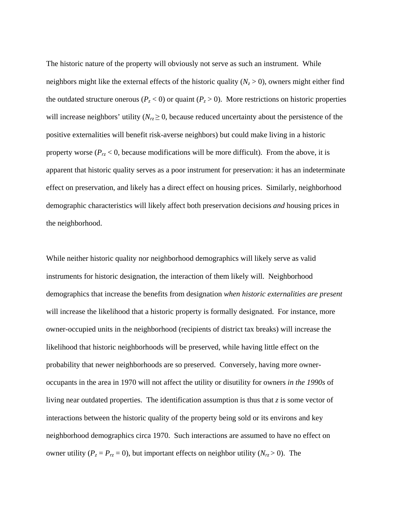The historic nature of the property will obviously not serve as such an instrument. While neighbors might like the external effects of the historic quality  $(N_z > 0)$ , owners might either find the outdated structure onerous ( $P_z < 0$ ) or quaint ( $P_z > 0$ ). More restrictions on historic properties will increase neighbors' utility  $(N_{rz} \geq 0$ , because reduced uncertainty about the persistence of the positive externalities will benefit risk-averse neighbors) but could make living in a historic property worse ( $P_{rz}$  < 0, because modifications will be more difficult). From the above, it is apparent that historic quality serves as a poor instrument for preservation: it has an indeterminate effect on preservation, and likely has a direct effect on housing prices. Similarly, neighborhood demographic characteristics will likely affect both preservation decisions *and* housing prices in the neighborhood.

While neither historic quality nor neighborhood demographics will likely serve as valid instruments for historic designation, the interaction of them likely will. Neighborhood demographics that increase the benefits from designation *when historic externalities are present* will increase the likelihood that a historic property is formally designated. For instance, more owner-occupied units in the neighborhood (recipients of district tax breaks) will increase the likelihood that historic neighborhoods will be preserved, while having little effect on the probability that newer neighborhoods are so preserved. Conversely, having more owneroccupants in the area in 1970 will not affect the utility or disutility for owners *in the 1990s* of living near outdated properties. The identification assumption is thus that *z* is some vector of interactions between the historic quality of the property being sold or its environs and key neighborhood demographics circa 1970. Such interactions are assumed to have no effect on owner utility ( $P_z = P_{rz} = 0$ ), but important effects on neighbor utility ( $N_{rz} > 0$ ). The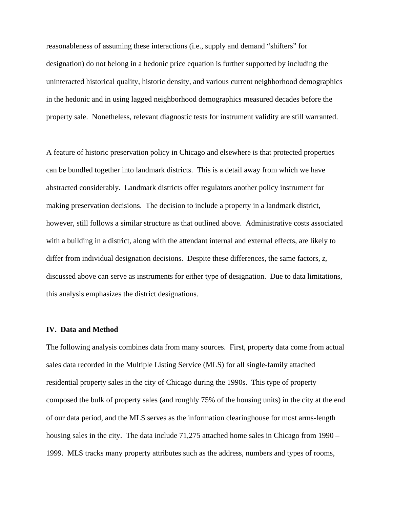reasonableness of assuming these interactions (i.e., supply and demand "shifters" for designation) do not belong in a hedonic price equation is further supported by including the uninteracted historical quality, historic density, and various current neighborhood demographics in the hedonic and in using lagged neighborhood demographics measured decades before the property sale. Nonetheless, relevant diagnostic tests for instrument validity are still warranted.

A feature of historic preservation policy in Chicago and elsewhere is that protected properties can be bundled together into landmark districts. This is a detail away from which we have abstracted considerably. Landmark districts offer regulators another policy instrument for making preservation decisions. The decision to include a property in a landmark district, however, still follows a similar structure as that outlined above. Administrative costs associated with a building in a district, along with the attendant internal and external effects, are likely to differ from individual designation decisions. Despite these differences, the same factors, *z*, discussed above can serve as instruments for either type of designation. Due to data limitations, this analysis emphasizes the district designations.

#### **IV. Data and Method**

The following analysis combines data from many sources. First, property data come from actual sales data recorded in the Multiple Listing Service (MLS) for all single-family attached residential property sales in the city of Chicago during the 1990s. This type of property composed the bulk of property sales (and roughly 75% of the housing units) in the city at the end of our data period, and the MLS serves as the information clearinghouse for most arms-length housing sales in the city. The data include 71,275 attached home sales in Chicago from 1990 – 1999. MLS tracks many property attributes such as the address, numbers and types of rooms,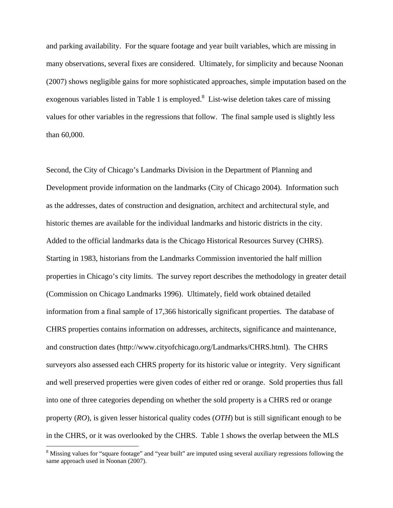and parking availability. For the square footage and year built variables, which are missing in many observations, several fixes are considered. Ultimately, for simplicity and because Noonan (2007) shows negligible gains for more sophisticated approaches, simple imputation based on the exogenous variables listed in Table 1 is employed.<sup>[8](#page-12-0)</sup> List-wise deletion takes care of missing values for other variables in the regressions that follow. The final sample used is slightly less than 60,000.

Second, the City of Chicago's Landmarks Division in the Department of Planning and Development provide information on the landmarks (City of Chicago 2004). Information such as the addresses, dates of construction and designation, architect and architectural style, and historic themes are available for the individual landmarks and historic districts in the city. Added to the official landmarks data is the Chicago Historical Resources Survey (CHRS). Starting in 1983, historians from the Landmarks Commission inventoried the half million properties in Chicago's city limits. The survey report describes the methodology in greater detail (Commission on Chicago Landmarks 1996). Ultimately, field work obtained detailed information from a final sample of 17,366 historically significant properties. The database of CHRS properties contains information on addresses, architects, significance and maintenance, and construction dates (http://www.cityofchicago.org/Landmarks/CHRS.html). The CHRS surveyors also assessed each CHRS property for its historic value or integrity. Very significant and well preserved properties were given codes of either red or orange. Sold properties thus fall into one of three categories depending on whether the sold property is a CHRS red or orange property (*RO*), is given lesser historical quality codes (*OTH*) but is still significant enough to be in the CHRS, or it was overlooked by the CHRS. Table 1 shows the overlap between the MLS

1

<span id="page-12-0"></span><sup>&</sup>lt;sup>8</sup> Missing values for "square footage" and "year built" are imputed using several auxiliary regressions following the same approach used in Noonan (2007).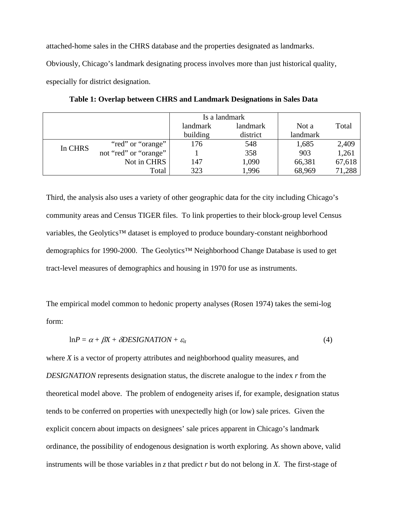attached-home sales in the CHRS database and the properties designated as landmarks.

Obviously, Chicago's landmark designating process involves more than just historical quality,

especially for district designation.

|         |                       |          | Is a landmark |          |        |
|---------|-----------------------|----------|---------------|----------|--------|
|         |                       | landmark | landmark      | Not a    | Total  |
|         |                       | building | district      | landmark |        |
| In CHRS | "red" or "orange"     | 176      | 548           | 1,685    | 2,409  |
|         | not "red" or "orange" |          | 358           | 903      | 1,261  |
|         | Not in CHRS           | 147      | 1,090         | 66,381   | 67,618 |
|         | Total                 | 323      | 1,996         | 68,969   | 71,288 |

**Table 1: Overlap between CHRS and Landmark Designations in Sales Data** 

Third, the analysis also uses a variety of other geographic data for the city including Chicago's community areas and Census TIGER files. To link properties to their block-group level Census variables, the Geolytics™ dataset is employed to produce boundary-constant neighborhood demographics for 1990-2000. The Geolytics™ Neighborhood Change Database is used to get tract-level measures of demographics and housing in 1970 for use as instruments.

The empirical model common to hedonic property analyses (Rosen 1974) takes the semi-log form:

$$
lnP = \alpha + \beta X + \delta \text{DESIGNATION} + \varepsilon_{it} \tag{4}
$$

where *X* is a vector of property attributes and neighborhood quality measures, and *DESIGNATION* represents designation status, the discrete analogue to the index *r* from the theoretical model above. The problem of endogeneity arises if, for example, designation status tends to be conferred on properties with unexpectedly high (or low) sale prices. Given the explicit concern about impacts on designees' sale prices apparent in Chicago's landmark ordinance, the possibility of endogenous designation is worth exploring. As shown above, valid instruments will be those variables in *z* that predict *r* but do not belong in *X*. The first-stage of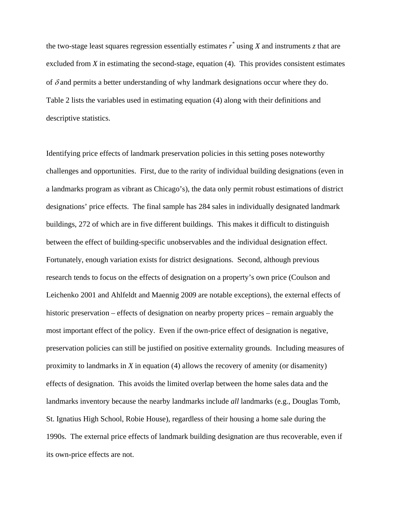the two-stage least squares regression essentially estimates  $r^*$  using  $X$  and instruments  $z$  that are excluded from *X* in estimating the second-stage, equation (4). This provides consistent estimates of  $\delta$  and permits a better understanding of why landmark designations occur where they do. Table 2 lists the variables used in estimating equation (4) along with their definitions and descriptive statistics.

Identifying price effects of landmark preservation policies in this setting poses noteworthy challenges and opportunities. First, due to the rarity of individual building designations (even in a landmarks program as vibrant as Chicago's), the data only permit robust estimations of district designations' price effects. The final sample has 284 sales in individually designated landmark buildings, 272 of which are in five different buildings. This makes it difficult to distinguish between the effect of building-specific unobservables and the individual designation effect. Fortunately, enough variation exists for district designations. Second, although previous research tends to focus on the effects of designation on a property's own price (Coulson and Leichenko 2001 and Ahlfeldt and Maennig 2009 are notable exceptions), the external effects of historic preservation – effects of designation on nearby property prices – remain arguably the most important effect of the policy. Even if the own-price effect of designation is negative, preservation policies can still be justified on positive externality grounds. Including measures of proximity to landmarks in *X* in equation (4) allows the recovery of amenity (or disamenity) effects of designation. This avoids the limited overlap between the home sales data and the landmarks inventory because the nearby landmarks include *all* landmarks (e.g., Douglas Tomb, St. Ignatius High School, Robie House), regardless of their housing a home sale during the 1990s. The external price effects of landmark building designation are thus recoverable, even if its own-price effects are not.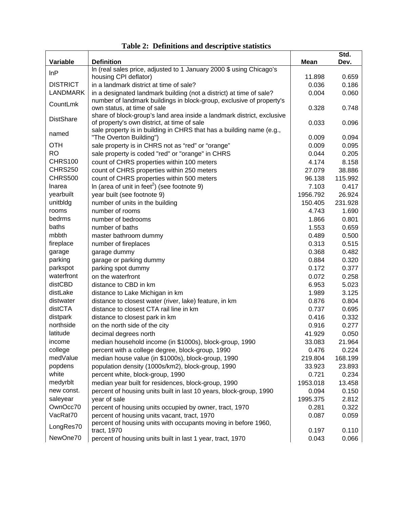| Variable         | <b>Definition</b>                                                             | <b>Mean</b> | Std.<br>Dev. |
|------------------|-------------------------------------------------------------------------------|-------------|--------------|
|                  | In (real sales price, adjusted to 1 January 2000 \$ using Chicago's           |             |              |
| InP              | housing CPI deflator)                                                         | 11.898      | 0.659        |
| <b>DISTRICT</b>  | in a landmark district at time of sale?                                       | 0.036       | 0.186        |
| <b>LANDMARK</b>  | in a designated landmark building (not a district) at time of sale?           | 0.004       | 0.060        |
|                  | number of landmark buildings in block-group, exclusive of property's          |             |              |
| CountLmk         | own status, at time of sale                                                   | 0.328       | 0.748        |
|                  | share of block-group's land area inside a landmark district, exclusive        |             |              |
| <b>DistShare</b> | of property's own district, at time of sale                                   | 0.033       | 0.096        |
| named            | sale property is in building in CHRS that has a building name (e.g.,          |             |              |
|                  | "The Overton Building")                                                       | 0.009       | 0.094        |
| <b>OTH</b>       | sale property is in CHRS not as "red" or "orange"                             | 0.009       | 0.095        |
| <b>RO</b>        | sale property is coded "red" or "orange" in CHRS                              | 0.044       | 0.205        |
| <b>CHRS100</b>   | count of CHRS properties within 100 meters                                    | 4.174       | 8.158        |
| <b>CHRS250</b>   | count of CHRS properties within 250 meters                                    | 27.079      | 38.886       |
| <b>CHRS500</b>   | count of CHRS properties within 500 meters                                    | 96.138      | 115.992      |
| Inarea           | In (area of unit in feet <sup>2</sup> ) (see footnote 9)                      | 7.103       | 0.417        |
| yearbuilt        | year built (see footnote 9)                                                   | 1956.792    | 26.924       |
| unitbldg         | number of units in the building                                               | 150.405     | 231.928      |
| rooms            | number of rooms                                                               | 4.743       | 1.690        |
| bedrms           | number of bedrooms                                                            | 1.866       | 0.801        |
| baths            | number of baths                                                               | 1.553       | 0.659        |
| mbbth            | master bathroom dummy                                                         | 0.489       | 0.500        |
| fireplace        | number of fireplaces                                                          | 0.313       | 0.515        |
| garage           | garage dummy                                                                  | 0.368       | 0.482        |
| parking          | garage or parking dummy                                                       | 0.884       | 0.320        |
| parkspot         | parking spot dummy                                                            | 0.172       | 0.377        |
| waterfront       | on the waterfront                                                             | 0.072       | 0.258        |
| distCBD          | distance to CBD in km                                                         | 6.953       | 5.023        |
| distLake         | distance to Lake Michigan in km                                               | 1.989       | 3.125        |
| distwater        | distance to closest water (river, lake) feature, in km                        | 0.876       | 0.804        |
| distCTA          | distance to closest CTA rail line in km                                       | 0.737       | 0.695        |
| distpark         | distance to closest park in km                                                | 0.416       | 0.332        |
| northside        | on the north side of the city                                                 | 0.916       | 0.277        |
| latitude         | decimal degrees north                                                         | 41.929      | 0.050        |
| income           | median household income (in \$1000s), block-group, 1990                       | 33.083      | 21.964       |
| college          | percent with a college degree, block-group, 1990                              | 0.476       | 0.224        |
| medValue         | median house value (in \$1000s), block-group, 1990                            | 219.804     | 168.199      |
| popdens          | population density (1000s/km2), block-group, 1990                             | 33.923      | 23.893       |
| white            | percent white, block-group, 1990                                              | 0.721       | 0.234        |
| medyrblt         | median year built for residences, block-group, 1990                           | 1953.018    | 13.458       |
| new const.       | percent of housing units built in last 10 years, block-group, 1990            | 0.094       | 0.150        |
| saleyear         | year of sale                                                                  | 1995.375    | 2.812        |
| OwnOcc70         | percent of housing units occupied by owner, tract, 1970                       | 0.281       | 0.322        |
| VacRat70         | percent of housing units vacant, tract, 1970                                  | 0.087       | 0.059        |
| LongRes70        | percent of housing units with occupants moving in before 1960,<br>tract, 1970 | 0.197       | 0.110        |
| NewOne70         | percent of housing units built in last 1 year, tract, 1970                    | 0.043       | 0.066        |
|                  |                                                                               |             |              |

**Table 2: Definitions and descriptive statistics**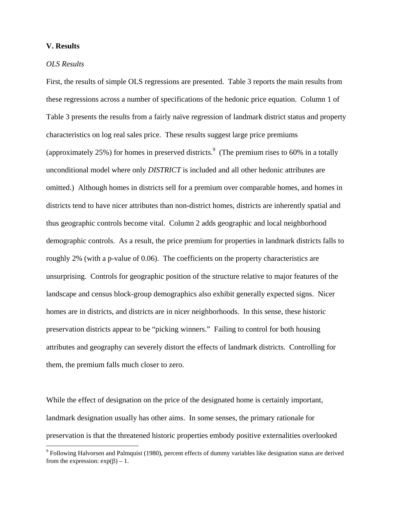#### **V. Results**

#### *OLS Results*

First, the results of simple OLS regressions are presented. Table 3 reports the main results from these regressions across a number of specifications of the hedonic price equation. Column 1 of Table 3 presents the results from a fairly naïve regression of landmark district status and property characteristics on log real sales price. These results suggest large price premiums (approximately 25%) for homes in preserved districts.<sup>[9](#page-16-0)</sup> (The premium rises to 60% in a totally unconditional model where only *DISTRICT* is included and all other hedonic attributes are omitted.) Although homes in districts sell for a premium over comparable homes, and homes in districts tend to have nicer attributes than non-district homes, districts are inherently spatial and thus geographic controls become vital. Column 2 adds geographic and local neighborhood demographic controls. As a result, the price premium for properties in landmark districts falls to roughly 2% (with a p-value of 0.06). The coefficients on the property characteristics are unsurprising. Controls for geographic position of the structure relative to major features of the landscape and census block-group demographics also exhibit generally expected signs. Nicer homes are in districts, and districts are in nicer neighborhoods. In this sense, these historic preservation districts appear to be "picking winners." Failing to control for both housing attributes and geography can severely distort the effects of landmark districts. Controlling for them, the premium falls much closer to zero.

While the effect of designation on the price of the designated home is certainly important, landmark designation usually has other aims. In some senses, the primary rationale for preservation is that the threatened historic properties embody positive externalities overlooked

<span id="page-16-0"></span><sup>&</sup>lt;sup>9</sup> Following Halvorsen and Palmquist (1980), percent effects of dummy variables like designation status are derived from the expression:  $exp(\beta) - 1$ .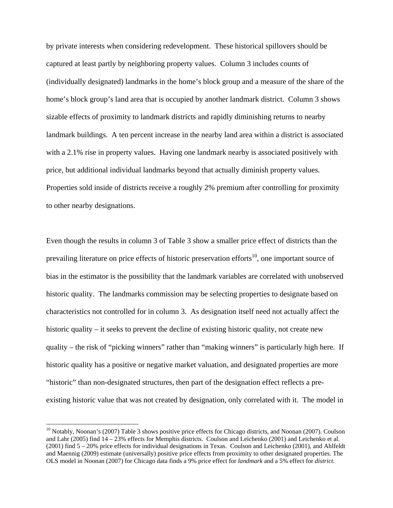by private interests when considering redevelopment. These historical spillovers should be captured at least partly by neighboring property values. Column 3 includes counts of (individually designated) landmarks in the home's block group and a measure of the share of the home's block group's land area that is occupied by another landmark district. Column 3 shows sizable effects of proximity to landmark districts and rapidly diminishing returns to nearby landmark buildings. A ten percent increase in the nearby land area within a district is associated with a 2.1% rise in property values. Having one landmark nearby is associated positively with price, but additional individual landmarks beyond that actually diminish property values. Properties sold inside of districts receive a roughly 2% premium after controlling for proximity to other nearby designations.

Even though the results in column 3 of Table 3 show a smaller price effect of districts than the prevailing literature on price effects of historic preservation efforts<sup>10</sup>, one important source of bias in the estimator is the possibility that the landmark variables are correlated with unobserved historic quality. The landmarks commission may be selecting properties to designate based on characteristics not controlled for in column 3. As designation itself need not actually affect the historic quality – it seeks to prevent the decline of existing historic quality, not create new quality – the risk of "picking winners" rather than "making winners" is particularly high here. If historic quality has a positive or negative market valuation, and designated properties are more "historic" than non-designated structures, then part of the designation effect reflects a preexisting historic value that was not created by designation, only correlated with it. The model in

1

<span id="page-17-0"></span><sup>&</sup>lt;sup>10</sup> Notably, Noonan's (2007) Table 3 shows positive price effects for Chicago districts, and Noonan (2007). Coulson and Lahr (2005) find 14 – 23% effects for Memphis districts. Coulson and Leichenko (2001) and Leichenko et al. (2001) find 5 – 20% price effects for individual designations in Texas. Coulson and Leichenko (2001), and Ahlfeldt and Maennig (2009) estimate (universally) positive price effects from proximity to other designated properties. The OLS model in Noonan (2007) for Chicago data finds a 9% price effect for *landmark* and a 5% effect for *district*.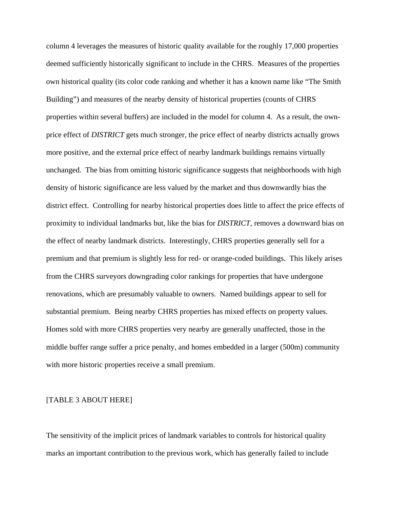column 4 leverages the measures of historic quality available for the roughly 17,000 properties deemed sufficiently historically significant to include in the CHRS. Measures of the properties own historical quality (its color code ranking and whether it has a known name like "The Smith Building") and measures of the nearby density of historical properties (counts of CHRS properties within several buffers) are included in the model for column 4. As a result, the ownprice effect of *DISTRICT* gets much stronger, the price effect of nearby districts actually grows more positive, and the external price effect of nearby landmark buildings remains virtually unchanged. The bias from omitting historic significance suggests that neighborhoods with high density of historic significance are less valued by the market and thus downwardly bias the district effect. Controlling for nearby historical properties does little to affect the price effects of proximity to individual landmarks but, like the bias for *DISTRICT*, removes a downward bias on the effect of nearby landmark districts. Interestingly, CHRS properties generally sell for a premium and that premium is slightly less for red- or orange-coded buildings. This likely arises from the CHRS surveyors downgrading color rankings for properties that have undergone renovations, which are presumably valuable to owners. Named buildings appear to sell for substantial premium. Being nearby CHRS properties has mixed effects on property values. Homes sold with more CHRS properties very nearby are generally unaffected, those in the middle buffer range suffer a price penalty, and homes embedded in a larger (500m) community with more historic properties receive a small premium.

#### [TABLE 3 ABOUT HERE]

The sensitivity of the implicit prices of landmark variables to controls for historical quality marks an important contribution to the previous work, which has generally failed to include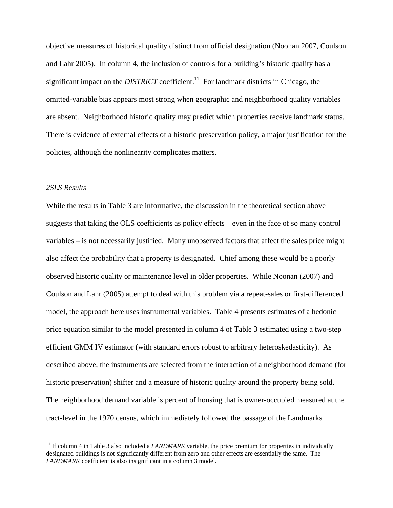objective measures of historical quality distinct from official designation (Noonan 2007, Coulson and Lahr 2005). In column 4, the inclusion of controls for a building's historic quality has a significant impact on the *DISTRICT* coefficient.<sup>11</sup> For landmark districts in Chicago, the omitted-variable bias appears most strong when geographic and neighborhood quality variables are absent. Neighborhood historic quality may predict which properties receive landmark status. There is evidence of external effects of a historic preservation policy, a major justification for the policies, although the nonlinearity complicates matters.

#### *2SLS Results*

1

While the results in Table 3 are informative, the discussion in the theoretical section above suggests that taking the OLS coefficients as policy effects – even in the face of so many control variables – is not necessarily justified. Many unobserved factors that affect the sales price might also affect the probability that a property is designated. Chief among these would be a poorly observed historic quality or maintenance level in older properties. While Noonan (2007) and Coulson and Lahr (2005) attempt to deal with this problem via a repeat-sales or first-differenced model, the approach here uses instrumental variables. Table 4 presents estimates of a hedonic price equation similar to the model presented in column 4 of Table 3 estimated using a two-step efficient GMM IV estimator (with standard errors robust to arbitrary heteroskedasticity). As described above, the instruments are selected from the interaction of a neighborhood demand (for historic preservation) shifter and a measure of historic quality around the property being sold. The neighborhood demand variable is percent of housing that is owner-occupied measured at the tract-level in the 1970 census, which immediately followed the passage of the Landmarks

<span id="page-19-0"></span><sup>&</sup>lt;sup>11</sup> If column 4 in Table 3 also included a *LANDMARK* variable, the price premium for properties in individually designated buildings is not significantly different from zero and other effects are essentially the same. The *LANDMARK* coefficient is also insignificant in a column 3 model.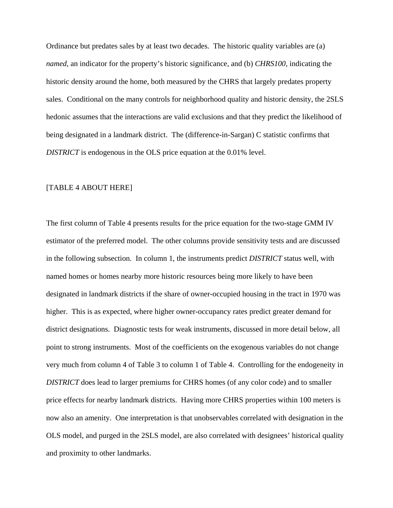Ordinance but predates sales by at least two decades. The historic quality variables are (a) *named*, an indicator for the property's historic significance, and (b) *CHRS100*, indicating the historic density around the home, both measured by the CHRS that largely predates property sales. Conditional on the many controls for neighborhood quality and historic density, the 2SLS hedonic assumes that the interactions are valid exclusions and that they predict the likelihood of being designated in a landmark district. The (difference-in-Sargan) C statistic confirms that *DISTRICT* is endogenous in the OLS price equation at the 0.01% level.

#### [TABLE 4 ABOUT HERE]

The first column of Table 4 presents results for the price equation for the two-stage GMM IV estimator of the preferred model. The other columns provide sensitivity tests and are discussed in the following subsection. In column 1, the instruments predict *DISTRICT* status well, with named homes or homes nearby more historic resources being more likely to have been designated in landmark districts if the share of owner-occupied housing in the tract in 1970 was higher. This is as expected, where higher owner-occupancy rates predict greater demand for district designations. Diagnostic tests for weak instruments, discussed in more detail below, all point to strong instruments. Most of the coefficients on the exogenous variables do not change very much from column 4 of Table 3 to column 1 of Table 4. Controlling for the endogeneity in *DISTRICT* does lead to larger premiums for CHRS homes (of any color code) and to smaller price effects for nearby landmark districts. Having more CHRS properties within 100 meters is now also an amenity. One interpretation is that unobservables correlated with designation in the OLS model, and purged in the 2SLS model, are also correlated with designees' historical quality and proximity to other landmarks.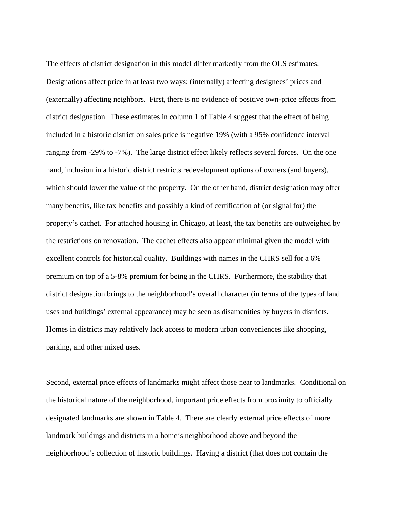The effects of district designation in this model differ markedly from the OLS estimates. Designations affect price in at least two ways: (internally) affecting designees' prices and (externally) affecting neighbors. First, there is no evidence of positive own-price effects from district designation. These estimates in column 1 of Table 4 suggest that the effect of being included in a historic district on sales price is negative 19% (with a 95% confidence interval ranging from -29% to -7%). The large district effect likely reflects several forces. On the one hand, inclusion in a historic district restricts redevelopment options of owners (and buyers), which should lower the value of the property. On the other hand, district designation may offer many benefits, like tax benefits and possibly a kind of certification of (or signal for) the property's cachet. For attached housing in Chicago, at least, the tax benefits are outweighed by the restrictions on renovation. The cachet effects also appear minimal given the model with excellent controls for historical quality. Buildings with names in the CHRS sell for a 6% premium on top of a 5-8% premium for being in the CHRS. Furthermore, the stability that district designation brings to the neighborhood's overall character (in terms of the types of land uses and buildings' external appearance) may be seen as disamenities by buyers in districts. Homes in districts may relatively lack access to modern urban conveniences like shopping, parking, and other mixed uses.

Second, external price effects of landmarks might affect those near to landmarks. Conditional on the historical nature of the neighborhood, important price effects from proximity to officially designated landmarks are shown in Table 4. There are clearly external price effects of more landmark buildings and districts in a home's neighborhood above and beyond the neighborhood's collection of historic buildings. Having a district (that does not contain the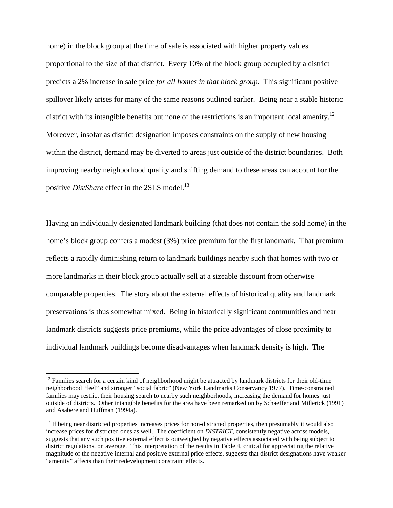home) in the block group at the time of sale is associated with higher property values proportional to the size of that district. Every 10% of the block group occupied by a district predicts a 2% increase in sale price *for all homes in that block group*. This significant positive spillover likely arises for many of the same reasons outlined earlier. Being near a stable historic district with its intangible benefits but none of the restrictions is an important local amenity.<sup>12</sup> Moreover, insofar as district designation imposes constraints on the supply of new housing within the district, demand may be diverted to areas just outside of the district boundaries. Both improving nearby neighborhood quality and shifting demand to these areas can account for the positive *DistShare* effect in the 2SLS model.<sup>13</sup>

Having an individually designated landmark building (that does not contain the sold home) in the home's block group confers a modest (3%) price premium for the first landmark. That premium reflects a rapidly diminishing return to landmark buildings nearby such that homes with two or more landmarks in their block group actually sell at a sizeable discount from otherwise comparable properties. The story about the external effects of historical quality and landmark preservations is thus somewhat mixed. Being in historically significant communities and near landmark districts suggests price premiums, while the price advantages of close proximity to individual landmark buildings become disadvantages when landmark density is high. The

 $\overline{a}$ 

<span id="page-22-0"></span> $12$  Families search for a certain kind of neighborhood might be attracted by landmark districts for their old-time neighborhood "feel" and stronger "social fabric" (New York Landmarks Conservancy 1977). Time-constrained families may restrict their housing search to nearby such neighborhoods, increasing the demand for homes just outside of districts. Other intangible benefits for the area have been remarked on by Schaeffer and Millerick (1991) and Asabere and Huffman (1994a).

<span id="page-22-1"></span> $<sup>13</sup>$  If being near districted properties increases prices for non-districted properties, then presumably it would also</sup> increase prices for districted ones as well. The coefficient on *DISTRICT*, consistently negative across models, suggests that any such positive external effect is outweighed by negative effects associated with being subject to district regulations, on average. This interpretation of the results in Table 4, critical for appreciating the relative magnitude of the negative internal and positive external price effects, suggests that district designations have weaker "amenity" affects than their redevelopment constraint effects.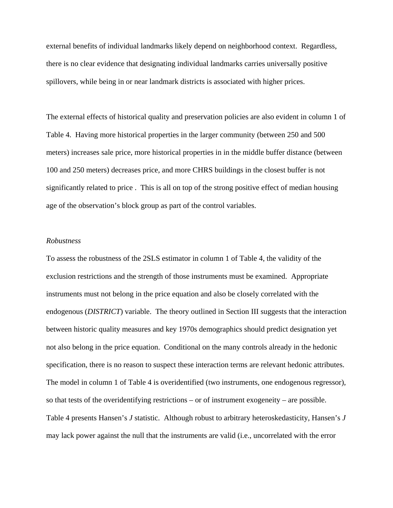external benefits of individual landmarks likely depend on neighborhood context. Regardless, there is no clear evidence that designating individual landmarks carries universally positive spillovers, while being in or near landmark districts is associated with higher prices.

The external effects of historical quality and preservation policies are also evident in column 1 of Table 4. Having more historical properties in the larger community (between 250 and 500 meters) increases sale price, more historical properties in in the middle buffer distance (between 100 and 250 meters) decreases price, and more CHRS buildings in the closest buffer is not significantly related to price . This is all on top of the strong positive effect of median housing age of the observation's block group as part of the control variables.

#### *Robustness*

To assess the robustness of the 2SLS estimator in column 1 of Table 4, the validity of the exclusion restrictions and the strength of those instruments must be examined. Appropriate instruments must not belong in the price equation and also be closely correlated with the endogenous (*DISTRICT*) variable. The theory outlined in Section III suggests that the interaction between historic quality measures and key 1970s demographics should predict designation yet not also belong in the price equation. Conditional on the many controls already in the hedonic specification, there is no reason to suspect these interaction terms are relevant hedonic attributes. The model in column 1 of Table 4 is overidentified (two instruments, one endogenous regressor), so that tests of the overidentifying restrictions – or of instrument exogeneity – are possible. Table 4 presents Hansen's *J* statistic. Although robust to arbitrary heteroskedasticity, Hansen's *J* may lack power against the null that the instruments are valid (i.e., uncorrelated with the error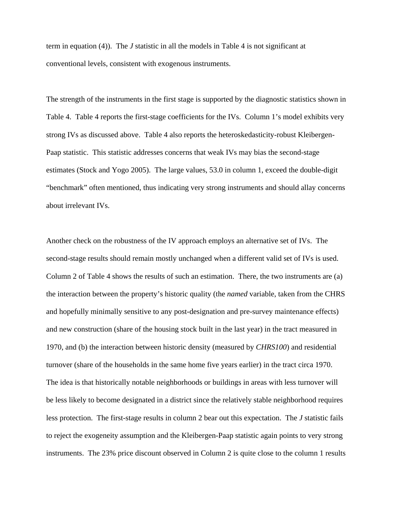term in equation (4)). The *J* statistic in all the models in Table 4 is not significant at conventional levels, consistent with exogenous instruments.

The strength of the instruments in the first stage is supported by the diagnostic statistics shown in Table 4. Table 4 reports the first-stage coefficients for the IVs. Column 1's model exhibits very strong IVs as discussed above. Table 4 also reports the heteroskedasticity-robust Kleibergen-Paap statistic. This statistic addresses concerns that weak IVs may bias the second-stage estimates (Stock and Yogo 2005). The large values, 53.0 in column 1, exceed the double-digit "benchmark" often mentioned, thus indicating very strong instruments and should allay concerns about irrelevant IVs.

Another check on the robustness of the IV approach employs an alternative set of IVs. The second-stage results should remain mostly unchanged when a different valid set of IVs is used. Column 2 of Table 4 shows the results of such an estimation. There, the two instruments are (a) the interaction between the property's historic quality (the *named* variable, taken from the CHRS and hopefully minimally sensitive to any post-designation and pre-survey maintenance effects) and new construction (share of the housing stock built in the last year) in the tract measured in 1970, and (b) the interaction between historic density (measured by *CHRS100*) and residential turnover (share of the households in the same home five years earlier) in the tract circa 1970. The idea is that historically notable neighborhoods or buildings in areas with less turnover will be less likely to become designated in a district since the relatively stable neighborhood requires less protection. The first-stage results in column 2 bear out this expectation. The *J* statistic fails to reject the exogeneity assumption and the Kleibergen-Paap statistic again points to very strong instruments. The 23% price discount observed in Column 2 is quite close to the column 1 results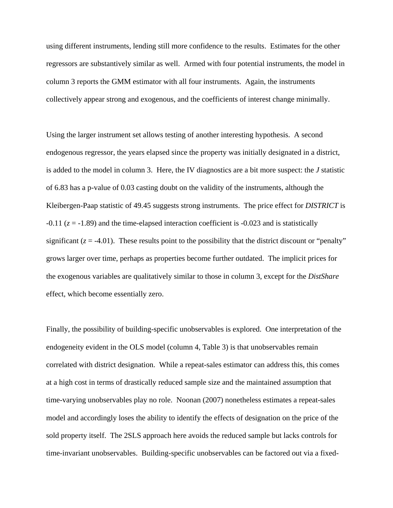using different instruments, lending still more confidence to the results. Estimates for the other regressors are substantively similar as well. Armed with four potential instruments, the model in column 3 reports the GMM estimator with all four instruments. Again, the instruments collectively appear strong and exogenous, and the coefficients of interest change minimally.

Using the larger instrument set allows testing of another interesting hypothesis. A second endogenous regressor, the years elapsed since the property was initially designated in a district, is added to the model in column 3. Here, the IV diagnostics are a bit more suspect: the *J* statistic of 6.83 has a p-value of 0.03 casting doubt on the validity of the instruments, although the Kleibergen-Paap statistic of 49.45 suggests strong instruments. The price effect for *DISTRICT* is  $-0.11$  ( $z = -1.89$ ) and the time-elapsed interaction coefficient is  $-0.023$  and is statistically significant  $(z = -4.01)$ . These results point to the possibility that the district discount or "penalty" grows larger over time, perhaps as properties become further outdated. The implicit prices for the exogenous variables are qualitatively similar to those in column 3, except for the *DistShare* effect, which become essentially zero.

Finally, the possibility of building-specific unobservables is explored. One interpretation of the endogeneity evident in the OLS model (column 4, Table 3) is that unobservables remain correlated with district designation. While a repeat-sales estimator can address this, this comes at a high cost in terms of drastically reduced sample size and the maintained assumption that time-varying unobservables play no role. Noonan (2007) nonetheless estimates a repeat-sales model and accordingly loses the ability to identify the effects of designation on the price of the sold property itself. The 2SLS approach here avoids the reduced sample but lacks controls for time-invariant unobservables. Building-specific unobservables can be factored out via a fixed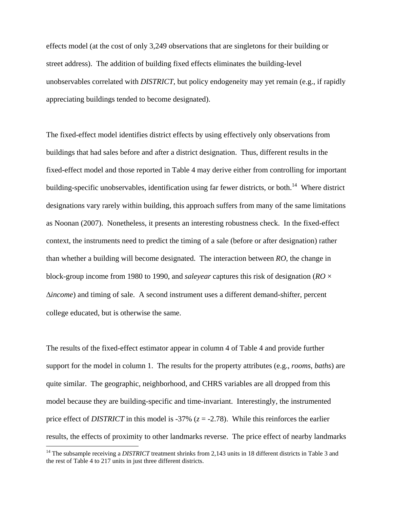effects model (at the cost of only 3,249 observations that are singletons for their building or street address). The addition of building fixed effects eliminates the building-level unobservables correlated with *DISTRICT*, but policy endogeneity may yet remain (e.g., if rapidly appreciating buildings tended to become designated).

The fixed-effect model identifies district effects by using effectively only observations from buildings that had sales before and after a district designation. Thus, different results in the fixed-effect model and those reported in Table 4 may derive either from controlling for important building-specific unobservables, identification using far fewer districts, or both.<sup>14</sup> Where district designations vary rarely within building, this approach suffers from many of the same limitations as Noonan (2007). Nonetheless, it presents an interesting robustness check. In the fixed-effect context, the instruments need to predict the timing of a sale (before or after designation) rather than whether a building will become designated. The interaction between *RO*, the change in block-group income from 1980 to 1990, and *saleyear* captures this risk of designation (*RO* × ∆*income*) and timing of sale. A second instrument uses a different demand-shifter, percent college educated, but is otherwise the same.

The results of the fixed-effect estimator appear in column 4 of Table 4 and provide further support for the model in column 1. The results for the property attributes (e.g., *rooms*, *baths*) are quite similar. The geographic, neighborhood, and CHRS variables are all dropped from this model because they are building-specific and time-invariant. Interestingly, the instrumented price effect of *DISTRICT* in this model is -37% (*z* = -2.78). While this reinforces the earlier results, the effects of proximity to other landmarks reverse. The price effect of nearby landmarks

1

<span id="page-26-0"></span><sup>&</sup>lt;sup>14</sup> The subsample receiving a *DISTRICT* treatment shrinks from 2,143 units in 18 different districts in Table 3 and the rest of Table 4 to 217 units in just three different districts.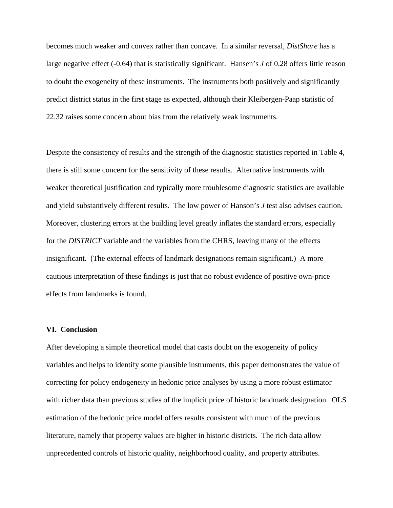becomes much weaker and convex rather than concave. In a similar reversal, *DistShare* has a large negative effect (-0.64) that is statistically significant. Hansen's *J* of 0.28 offers little reason to doubt the exogeneity of these instruments. The instruments both positively and significantly predict district status in the first stage as expected, although their Kleibergen-Paap statistic of 22.32 raises some concern about bias from the relatively weak instruments.

Despite the consistency of results and the strength of the diagnostic statistics reported in Table 4, there is still some concern for the sensitivity of these results. Alternative instruments with weaker theoretical justification and typically more troublesome diagnostic statistics are available and yield substantively different results. The low power of Hanson's *J* test also advises caution. Moreover, clustering errors at the building level greatly inflates the standard errors, especially for the *DISTRICT* variable and the variables from the CHRS, leaving many of the effects insignificant. (The external effects of landmark designations remain significant.) A more cautious interpretation of these findings is just that no robust evidence of positive own-price effects from landmarks is found.

#### **VI. Conclusion**

After developing a simple theoretical model that casts doubt on the exogeneity of policy variables and helps to identify some plausible instruments, this paper demonstrates the value of correcting for policy endogeneity in hedonic price analyses by using a more robust estimator with richer data than previous studies of the implicit price of historic landmark designation. OLS estimation of the hedonic price model offers results consistent with much of the previous literature, namely that property values are higher in historic districts. The rich data allow unprecedented controls of historic quality, neighborhood quality, and property attributes.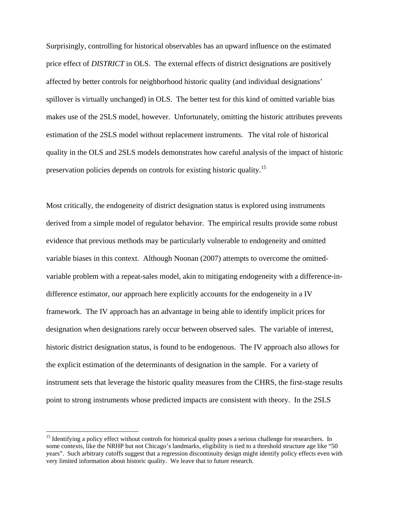Surprisingly, controlling for historical observables has an upward influence on the estimated price effect of *DISTRICT* in OLS. The external effects of district designations are positively affected by better controls for neighborhood historic quality (and individual designations' spillover is virtually unchanged) in OLS. The better test for this kind of omitted variable bias makes use of the 2SLS model, however. Unfortunately, omitting the historic attributes prevents estimation of the 2SLS model without replacement instruments. The vital role of historical quality in the OLS and 2SLS models demonstrates how careful analysis of the impact of historic preservation policies depends on controls for existing historic quality.[15](#page-28-0)

Most critically, the endogeneity of district designation status is explored using instruments derived from a simple model of regulator behavior. The empirical results provide some robust evidence that previous methods may be particularly vulnerable to endogeneity and omitted variable biases in this context. Although Noonan (2007) attempts to overcome the omittedvariable problem with a repeat-sales model, akin to mitigating endogeneity with a difference-indifference estimator, our approach here explicitly accounts for the endogeneity in a IV framework. The IV approach has an advantage in being able to identify implicit prices for designation when designations rarely occur between observed sales. The variable of interest, historic district designation status, is found to be endogenous. The IV approach also allows for the explicit estimation of the determinants of designation in the sample. For a variety of instrument sets that leverage the historic quality measures from the CHRS, the first-stage results point to strong instruments whose predicted impacts are consistent with theory. In the 2SLS

<u>.</u>

<span id="page-28-0"></span><sup>&</sup>lt;sup>15</sup> Identifying a policy effect without controls for historical quality poses a serious challenge for researchers. In some contexts, like the NRHP but not Chicago's landmarks, eligibility is tied to a threshold structure age like "50 years". Such arbitrary cutoffs suggest that a regression discontinuity design might identify policy effects even with very limited information about historic quality. We leave that to future research.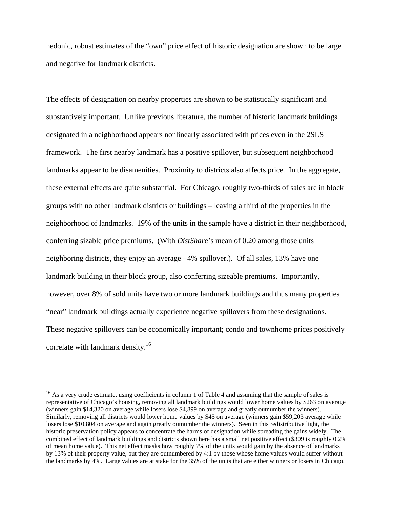hedonic, robust estimates of the "own" price effect of historic designation are shown to be large and negative for landmark districts.

The effects of designation on nearby properties are shown to be statistically significant and substantively important. Unlike previous literature, the number of historic landmark buildings designated in a neighborhood appears nonlinearly associated with prices even in the 2SLS framework. The first nearby landmark has a positive spillover, but subsequent neighborhood landmarks appear to be disamenities. Proximity to districts also affects price. In the aggregate, these external effects are quite substantial. For Chicago, roughly two-thirds of sales are in block groups with no other landmark districts or buildings – leaving a third of the properties in the neighborhood of landmarks. 19% of the units in the sample have a district in their neighborhood, conferring sizable price premiums. (With *DistShare*'s mean of 0.20 among those units neighboring districts, they enjoy an average +4% spillover.). Of all sales, 13% have one landmark building in their block group, also conferring sizeable premiums. Importantly, however, over 8% of sold units have two or more landmark buildings and thus many properties "near" landmark buildings actually experience negative spillovers from these designations. These negative spillovers can be economically important; condo and townhome prices positively correlate with landmark density.<sup>16</sup>

 $\overline{a}$ 

<span id="page-29-0"></span><sup>&</sup>lt;sup>16</sup> As a very crude estimate, using coefficients in column 1 of Table 4 and assuming that the sample of sales is representative of Chicago's housing, removing all landmark buildings would lower home values by \$263 on average (winners gain \$14,320 on average while losers lose \$4,899 on average and greatly outnumber the winners). Similarly, removing all districts would lower home values by \$45 on average (winners gain \$59,203 average while losers lose \$10,804 on average and again greatly outnumber the winners). Seen in this redistributive light, the historic preservation policy appears to concentrate the harms of designation while spreading the gains widely. The combined effect of landmark buildings and districts shown here has a small net positive effect (\$309 is roughly 0.2% of mean home value). This net effect masks how roughly 7% of the units would gain by the absence of landmarks by 13% of their property value, but they are outnumbered by 4:1 by those whose home values would suffer without the landmarks by 4%. Large values are at stake for the 35% of the units that are either winners or losers in Chicago.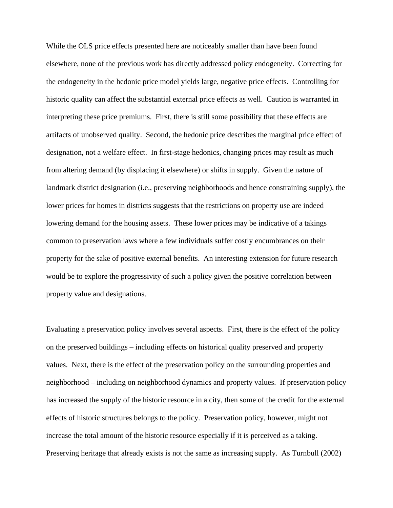While the OLS price effects presented here are noticeably smaller than have been found elsewhere, none of the previous work has directly addressed policy endogeneity. Correcting for the endogeneity in the hedonic price model yields large, negative price effects. Controlling for historic quality can affect the substantial external price effects as well. Caution is warranted in interpreting these price premiums. First, there is still some possibility that these effects are artifacts of unobserved quality. Second, the hedonic price describes the marginal price effect of designation, not a welfare effect. In first-stage hedonics, changing prices may result as much from altering demand (by displacing it elsewhere) or shifts in supply. Given the nature of landmark district designation (i.e., preserving neighborhoods and hence constraining supply), the lower prices for homes in districts suggests that the restrictions on property use are indeed lowering demand for the housing assets. These lower prices may be indicative of a takings common to preservation laws where a few individuals suffer costly encumbrances on their property for the sake of positive external benefits. An interesting extension for future research would be to explore the progressivity of such a policy given the positive correlation between property value and designations.

Evaluating a preservation policy involves several aspects. First, there is the effect of the policy on the preserved buildings – including effects on historical quality preserved and property values. Next, there is the effect of the preservation policy on the surrounding properties and neighborhood – including on neighborhood dynamics and property values. If preservation policy has increased the supply of the historic resource in a city, then some of the credit for the external effects of historic structures belongs to the policy. Preservation policy, however, might not increase the total amount of the historic resource especially if it is perceived as a taking. Preserving heritage that already exists is not the same as increasing supply. As Turnbull (2002)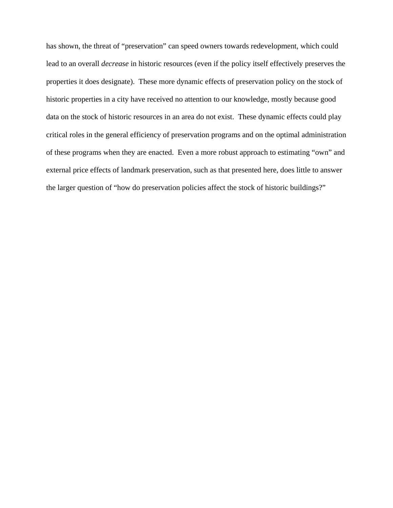has shown, the threat of "preservation" can speed owners towards redevelopment, which could lead to an overall *decrease* in historic resources (even if the policy itself effectively preserves the properties it does designate). These more dynamic effects of preservation policy on the stock of historic properties in a city have received no attention to our knowledge, mostly because good data on the stock of historic resources in an area do not exist. These dynamic effects could play critical roles in the general efficiency of preservation programs and on the optimal administration of these programs when they are enacted. Even a more robust approach to estimating "own" and external price effects of landmark preservation, such as that presented here, does little to answer the larger question of "how do preservation policies affect the stock of historic buildings?"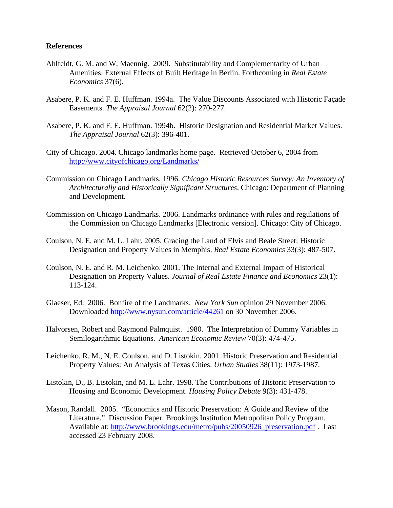#### **References**

- Ahlfeldt, G. M. and W. Maennig. 2009. Substitutability and Complementarity of Urban Amenities: External Effects of Built Heritage in Berlin. Forthcoming in *Real Estate Economics* 37(6).
- Asabere, P. K. and F. E. Huffman. 1994a. The Value Discounts Associated with Historic Façade Easements. *The Appraisal Journal* 62(2): 270-277.
- Asabere, P. K. and F. E. Huffman. 1994b. Historic Designation and Residential Market Values. *The Appraisal Journal* 62(3): 396-401.
- City of Chicago. 2004. Chicago landmarks home page. Retrieved October 6, 2004 from <http://www.cityofchicago.org/Landmarks/>
- Commission on Chicago Landmarks. 1996. *Chicago Historic Resources Survey: An Inventory of Architecturally and Historically Significant Structures*. Chicago: Department of Planning and Development.
- Commission on Chicago Landmarks. 2006. Landmarks ordinance with rules and regulations of the Commission on Chicago Landmarks [Electronic version]. Chicago: City of Chicago.
- Coulson, N. E. and M. L. Lahr. 2005. Gracing the Land of Elvis and Beale Street: Historic Designation and Property Values in Memphis. *Real Estate Economics* 33(3): 487-507.
- Coulson, N. E. and R. M. Leichenko. 2001. The Internal and External Impact of Historical Designation on Property Values. *Journal of Real Estate Finance and Economics* 23(1): 113-124.
- Glaeser, Ed. 2006. Bonfire of the Landmarks. *New York Sun* opinion 29 November 2006. Downloaded<http://www.nysun.com/article/44261>on 30 November 2006.
- Halvorsen, Robert and Raymond Palmquist. 1980. The Interpretation of Dummy Variables in Semilogarithmic Equations. *American Economic Review* 70(3): 474-475.
- Leichenko, R. M., N. E. Coulson, and D. Listokin. 2001. Historic Preservation and Residential Property Values: An Analysis of Texas Cities. *Urban Studies* 38(11): 1973-1987.
- Listokin, D., B. Listokin, and M. L. Lahr. 1998. The Contributions of Historic Preservation to Housing and Economic Development. *Housing Policy Debate* 9(3): 431-478.
- Mason, Randall. 2005. "Economics and Historic Preservation: A Guide and Review of the Literature." Discussion Paper. Brookings Institution Metropolitan Policy Program. Available at: [http://www.brookings.edu/metro/pubs/20050926\\_preservation.pdf](http://www.brookings.edu/metro/pubs/20050926_preservation.pdf) . Last accessed 23 February 2008.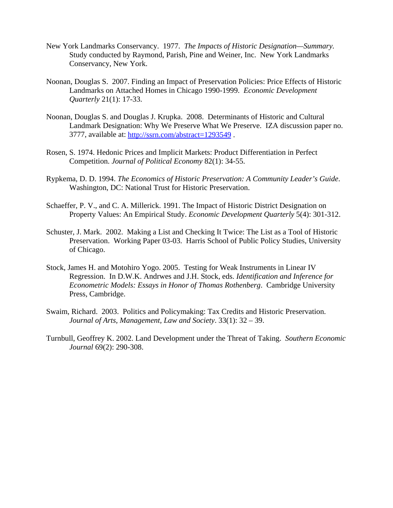- New York Landmarks Conservancy. 1977. *The Impacts of Historic Designation—Summary.* Study conducted by Raymond, Parish, Pine and Weiner, Inc. New York Landmarks Conservancy, New York.
- Noonan, Douglas S. 2007. Finding an Impact of Preservation Policies: Price Effects of Historic Landmarks on Attached Homes in Chicago 1990-1999. *Economic Development Quarterly* 21(1): 17-33.
- Noonan, Douglas S. and Douglas J. Krupka. 2008. Determinants of Historic and Cultural Landmark Designation: Why We Preserve What We Preserve. IZA discussion paper no. 3777, available at:<http://ssrn.com/abstract=1293549>.
- Rosen, S. 1974. Hedonic Prices and Implicit Markets: Product Differentiation in Perfect Competition. *Journal of Political Economy* 82(1): 34-55.
- Rypkema, D. D. 1994. *The Economics of Historic Preservation: A Community Leader's Guide*. Washington, DC: National Trust for Historic Preservation.
- Schaeffer, P. V., and C. A. Millerick. 1991. The Impact of Historic District Designation on Property Values: An Empirical Study. *Economic Development Quarterly* 5(4): 301-312.
- Schuster, J. Mark. 2002. Making a List and Checking It Twice: The List as a Tool of Historic Preservation. Working Paper 03-03. Harris School of Public Policy Studies, University of Chicago.
- Stock, James H. and Motohiro Yogo. 2005. Testing for Weak Instruments in Linear IV Regression. In D.W.K. Andrwes and J.H. Stock, eds. *Identification and Inference for Econometric Models: Essays in Honor of Thomas Rothenberg*. Cambridge University Press, Cambridge.
- Swaim, Richard. 2003. Politics and Policymaking: Tax Credits and Historic Preservation. *Journal of Arts, Management, Law and Society*. 33(1): 32 – 39.
- Turnbull, Geoffrey K. 2002. Land Development under the Threat of Taking. *Southern Economic Journal* 69(2): 290-308.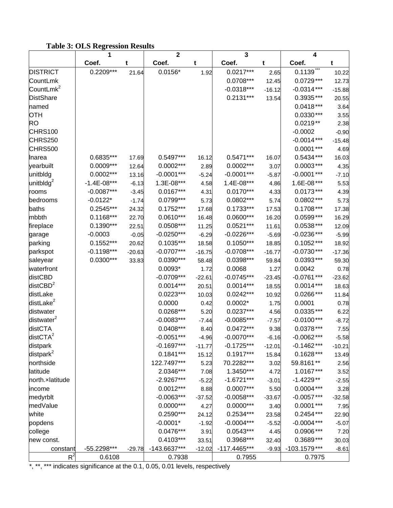### **Table 3: OLS Regression Results**

|                        | 1             |          | 2                          |          | 3                         |          | 4                        |          |
|------------------------|---------------|----------|----------------------------|----------|---------------------------|----------|--------------------------|----------|
|                        | Coef.         | t        | Coef.                      | t        | Coef.                     | t        | Coef.                    | t        |
| <b>DISTRICT</b>        | $0.2209***$   | 21.64    | $0.0156*$                  | 1.92     | $0.0217***$               | 2.65     | 0.1139                   | 10.22    |
| CountLmk               |               |          |                            |          | 0.0708***                 | 12.45    | $0.0729***$              | 12.73    |
| CountLmk <sup>2</sup>  |               |          |                            |          | $-0.0318***$              | $-16.12$ | $-0.0314***$             | $-15.88$ |
| <b>DistShare</b>       |               |          |                            |          | $0.2131***$               | 13.54    | $0.3935***$              | 20.55    |
| named                  |               |          |                            |          |                           |          | $0.0418***$              | 3.64     |
| OTH                    |               |          |                            |          |                           |          | $0.0330***$              | 3.55     |
| <b>RO</b>              |               |          |                            |          |                           |          | $0.0219**$               | 2.38     |
| CHRS100                |               |          |                            |          |                           |          | $-0.0002$                | $-0.90$  |
| CHRS250                |               |          |                            |          |                           |          | $-0.0014***$             | $-15.48$ |
| CHRS500                |               |          |                            |          |                           |          | $0.0001***$              | 4.69     |
| Inarea                 | 0.6835***     | 17.69    | 0.5497***                  | 16.12    | $0.5471***$               | 16.07    | $0.5434***$              | 16.03    |
| yearbuilt              | $0.0009***$   | 12.64    | $0.0002***$                | 2.89     | 0.0002***                 | 3.07     | $0.0003***$              | 4.35     |
| unitbldg               | $0.0002***$   | 13.16    | $-0.0001***$               | $-5.24$  | $-0.0001***$              | $-5.87$  | $-0.0001$ ***            | $-7.10$  |
| unitbldg $^{2}$        | $-1.4E-08***$ | $-6.13$  | 1.3E-08***                 | 4.58     | 1.4E-08***                | 4.86     | 1.6E-08***               | 5.53     |
| rooms                  | $-0.0087***$  | $-3.45$  | $0.0167***$                | 4.31     | $0.0170***$               | 4.33     | $0.0173***$              | 4.39     |
| bedrooms               | $-0.0122*$    | $-1.74$  | $0.0799***$                | 5.73     | $0.0802***$               | 5.74     | $0.0802***$              | 5.73     |
| baths                  | $0.2545***$   | 24.32    | $0.1752***$                | 17.68    | $0.1733***$               | 17.53    | $0.1708***$              | 17.38    |
| mbbth                  | $0.1168***$   | 22.70    | $0.0610***$                | 16.48    | $0.0600***$               | 16.20    | $0.0599***$              | 16.29    |
| fireplace              | $0.1390***$   | 22.51    | $0.0508***$                | 11.25    | $0.0521***$               | 11.61    | $0.0538***$              | 12.09    |
| garage                 | $-0.0003$     | $-0.05$  | $-0.0250***$               | $-6.29$  | $-0.0226***$              | $-5.69$  | $-0.0236***$             | $-5.99$  |
| parking                | $0.1552***$   | 20.62    | $0.1035***$                | 18.58    | $0.1050***$               | 18.85    | $0.1052***$              | 18.92    |
| parkspot               | $-0.1198***$  | $-20.63$ | $-0.0707***$               | $-16.75$ | $-0.0708***$              | $-16.77$ | $-0.0730***$             | $-17.36$ |
| saleyear               | $0.0300***$   | 33.83    | $0.0390***$                | 58.48    | 0.0398***                 | 59.84    | $0.0393***$              | 59.30    |
| waterfront             |               |          | $0.0093*$                  | 1.72     | 0.0068                    | 1.27     | 0.0042                   | 0.78     |
| distCBD                |               |          | $-0.0709***$               | $-22.61$ | $-0.0745***$              | $-23.45$ | $-0.0761***$             | $-23.62$ |
| distCBD $^2$           |               |          | $0.0014***$                | 20.51    | $0.0014***$               | 18.55    | $0.0014***$              | 18.63    |
| distLake               |               |          | $0.0223***$                | 10.03    | $0.0242***$               | 10.92    | $0.0266***$              | 11.84    |
| distLake <sup>2</sup>  |               |          | 0.0000                     | 0.42     | $0.0002*$                 | 1.75     | 0.0001                   | 0.78     |
| distwater              |               |          | $0.0268***$                | 5.20     | $0.0237***$               | 4.56     | $0.0335***$              | 6.22     |
| distwater <sup>2</sup> |               |          | $-0.0083***$               | $-7.44$  | $-0.0085***$              | $-7.57$  | $-0.0100***$             | $-8.72$  |
| distCTA                |               |          | $0.0408***$                | 8.40     | $0.0472***$               | 9.38     | $0.0378***$              | 7.55     |
| distCTA <sup>2</sup>   |               |          | $-0.0051***$               |          | $-0.0070***$              |          | $-0.0062***$             |          |
|                        |               |          | $-0.1697***$               | $-4.96$  | $-0.1725***$              | $-6.16$  | $-0.1462***$             | $-5.58$  |
| distpark               |               |          |                            | $-11.77$ | $0.1917***$               | $-12.01$ |                          | $-10.21$ |
| distpark <sup>2</sup>  |               |          | $0.1841***$<br>122.7497*** | 15.12    | 70.2282***                | 15.84    | $0.1628***$<br>59.8161** | 13.49    |
| northside              |               |          | 2.0346***                  | 5.23     |                           | 3.02     |                          | 2.56     |
| latitude               |               |          | $-2.9267***$               | 7.08     | 1.3450***<br>$-1.6721***$ | 4.72     | 1.0167***<br>$-1.4229**$ | 3.52     |
| north.xlatitude        |               |          |                            | $-5.22$  | $0.0007***$               | $-3.01$  |                          | $-2.55$  |
| income                 |               |          | $0.0012***$                | 8.88     |                           | 5.50     | $0.0004***$              | 3.28     |
| medyrblt               |               |          | $-0.0063***$               | $-37.52$ | $-0.0058***$              | $-33.67$ | $-0.0057***$             | $-32.58$ |
| medValue               |               |          | $0.0000***$                | 4.27     | $0.0000***$               | 3.40     | $0.0001***$              | 7.95     |
| white                  |               |          | $0.2590***$                | 24.12    | 0.2534***                 | 23.58    | $0.2454***$              | 22.90    |
| popdens                |               |          | $-0.0001*$                 | $-1.92$  | $-0.0004***$              | $-5.52$  | $-0.0004***$             | $-5.07$  |
| college                |               |          | $0.0476***$                | 3.91     | $0.0543***$               | 4.45     | 0.0906 ***               | 7.20     |
| new const.             |               |          | $0.4103***$                | 33.51    | 0.3968***                 | 32.40    | $0.3689***$              | 30.03    |
| constant               | $-55.2298***$ | $-29.78$ | $-143.6637***$             | $-12.02$ | $-117.4465***$            | $-9.93$  | $-103.1579***$           | $-8.61$  |
| $R^2$                  | 0.6108        |          | 0.7938                     |          | 0.7955                    |          | 0.7975                   |          |

\*, \*\*, \*\*\* indicates significance at the 0.1, 0.05, 0.01 levels, respectively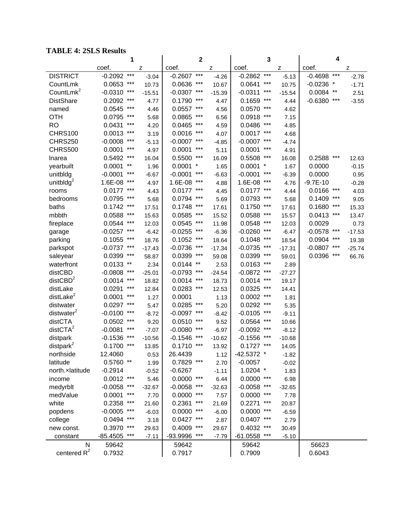#### **TABLE 4: 2SLS Results**

| <b>TABLE 4: 2SLS Results</b> |               |                       |          |              |              |          |                    |          |                    |          |
|------------------------------|---------------|-----------------------|----------|--------------|--------------|----------|--------------------|----------|--------------------|----------|
|                              |               | 1                     |          |              | $\mathbf{2}$ |          | 3                  |          | 4                  |          |
|                              | coef.         |                       | z        | coef.        |              | z        | coef.              | z        | coef.              | z        |
| <b>DISTRICT</b>              | $-0.2092$     | $***$                 | $-3.04$  | $-0.2607$    | $***$        | $-4.26$  | $***$<br>$-0.2862$ | $-5.13$  | $***$<br>$-0.4698$ | $-2.78$  |
| CountLmk                     | 0.0653        | $***$                 | 10.73    | 0.0636       | ***          | 10.67    | ***<br>0.0641      | 10.75    | $-0.0236$ *        | $-1.71$  |
| CountLmk <sup>2</sup>        | $-0.0310$     | ***                   | $-15.51$ | $-0.0307$    | $***$        | $-15.39$ | ***<br>$-0.0311$   | $-15.54$ | 0.0084<br>$***$    | 2.51     |
| <b>DistShare</b>             | 0.2092        | $***$                 | 4.77     | 0.1790       | $***$        | 4.47     | $***$<br>0.1659    | 4.44     | $***$<br>$-0.6380$ | $-3.55$  |
| named                        | 0.0545        | $***$                 | 4.46     | 0.0557       | ***          | 4.56     | 0.0570<br>***      | 4.62     |                    |          |
| OTH                          | 0.0795        | $***$                 | 5.68     | 0.0865       | ***          | 6.56     | $***$<br>0.0918    | 7.15     |                    |          |
| <b>RO</b>                    | 0.0431        | $***$                 | 4.20     | 0.0465       | ***          | 4.59     | ***<br>0.0486      | 4.85     |                    |          |
| <b>CHRS100</b>               | 0.0013        | $***$                 | 3.19     | 0.0016       | $***$        | 4.07     | ***<br>0.0017      | 4.68     |                    |          |
| <b>CHRS250</b>               | $-0.0008$     | $***$                 | $-5.13$  | $-0.0007$    | $***$        | $-4.85$  | ***<br>$-0.0007$   | $-4.74$  |                    |          |
| <b>CHRS500</b>               | 0.0001        | $\star\!\star\!\star$ | 4.97     | 0.0001       | ***          | 5.11     | ***<br>0.0001      | 4.91     |                    |          |
| Inarea                       | 0.5492        | ***                   | 16.04    | 0.5500       | ***          | 16.09    | 0.5508<br>***      | 16.08    | ***<br>0.2588      | 12.63    |
| yearbuilt                    | 0.0001        | $***$                 | 1.96     | $0.0001$ *   |              | 1.65     | 0.0001<br>$\ast$   | 1.67     | 0.0000             | $-0.15$  |
| unitbldg                     | $-0.0001$     | ***                   | $-6.67$  | $-0.0001$    | ***          | $-6.63$  | $-0.0001$<br>***   | $-6.39$  | 0.0000             | 0.95     |
| unitbld $g^2$                | 1.6E-08       | ***                   | 4.97     | 1.6E-08      | $***$        | 4.88     | $***$<br>1.6E-08   | 4.76     | $-9.7E-10$         | $-0.28$  |
| rooms                        | $0.0177$ ***  |                       | 4.43     | $0.0177$ *** |              | 4.45     | $0.0177$ ***       | 4.44     | $***$<br>0.0166    | 4.03     |
| bedrooms                     | 0.0795        | $***$                 | 5.68     | 0.0794       | $***$        | 5.69     | $***$<br>0.0793    | 5.68     | $***$<br>0.1409    | 9.05     |
| baths                        | 0.1742        | $***$                 | 17.51    | 0.1748       | $***$        | 17.61    | ***<br>0.1750      | 17.61    | $***$<br>0.1680    | 15.33    |
| mbbth                        | 0.0588        | ***                   | 15.63    | 0.0585       | ***          | 15.52    | 0.0588<br>***      | 15.57    | $***$<br>0.0413    | 13.47    |
| fireplace                    | 0.0544        | ***                   | 12.03    | 0.0545       | ***          | 11.98    | $***$<br>0.0548    | 12.03    | 0.0029             | 0.73     |
| garage                       | $-0.0257$     | $***$                 | $-6.42$  | $-0.0255$    | $***$        | $-6.36$  | ***<br>$-0.0260$   | $-6.47$  | $***$<br>$-0.0578$ | $-17.53$ |
| parking                      | 0.1055        | $***$                 | 18.76    | 0.1052       | ***          | 18.64    | 0.1048<br>***      | 18.54    | 0.0904<br>$***$    | 19.38    |
| parkspot                     | $-0.0737$ *** |                       | $-17.43$ | $-0.0736$    | $***$        | $-17.34$ | ***<br>$-0.0735$   | $-17.31$ | ***<br>$-0.0807$   | $-25.74$ |
| saleyear                     | 0.0399        | $***$                 | 58.87    | 0.0399       | $***$        | 59.08    | $***$<br>0.0399    | 59.01    | $***$<br>0.0396    | 66.76    |
| waterfront                   | 0.0133        | $^{\star\star}$       | 2.34     | 0.0144       | $***$        | 2.53     | 0.0163<br>***      | 2.89     |                    |          |
| distCBD                      | $-0.0808$     | $***$                 | $-25.01$ | $-0.0793$    | ***          | $-24.54$ | ***<br>$-0.0872$   | $-27.27$ |                    |          |
| distCBD <sup>2</sup>         | 0.0014        | $***$                 | 18.82    | 0.0014       | ***          | 18.73    | 0.0014<br>***      | 19.17    |                    |          |
| distLake                     | 0.0291        | $***$                 | 12.84    | 0.0283       | ***          | 12.53    | ***<br>0.0325      | 14.41    |                    |          |
| distLake <sup>2</sup>        | 0.0001        | ***                   | 1.27     | 0.0001       |              | 1.13     | 0.0002<br>***      | 1.81     |                    |          |
| distwater                    | 0.0297        | ***                   | 5.47     | 0.0285       | ***          | 5.20     | 0.0292<br>***      | 5.35     |                    |          |
| distwater <sup>2</sup>       | $-0.0100$     | ***                   | $-8.72$  | $-0.0097$    | ***          | $-8.42$  | ***<br>$-0.0105$   | $-9.11$  |                    |          |
| distCTA                      | 0.0502        | $***$                 | 9.20     | 0.0510       | ***          | 9.52     | ***<br>0.0564      | 10.66    |                    |          |
| distCTA <sup>2</sup>         | $-0.0081$     | ***                   | $-7.07$  | $-0.0080$    | $***$        | $-6.97$  | $-0.0092$ ***      | $-8.12$  |                    |          |
| distpark                     | $-0.1536$     | $***$                 | $-10.56$ | $-0.1546$    | $***$        | $-10.62$ | $***$<br>$-0.1556$ | $-10.68$ |                    |          |
| distpark $^2$                | 0.1700        | $***$                 | 13.85    | 0.1710       | $***$        | 13.92    | $***$<br>0.1727    | 14.05    |                    |          |
| northside                    | 12.4060       |                       | 0.53     | 26.4439      |              | 1.12     | -42.5372 *         | $-1.82$  |                    |          |
| latitude                     | $0.5760$ **   |                       | 1.99     | 0.7829       | $***$        | 2.70     | $-0.0057$          | $-0.02$  |                    |          |
| north.xlatitude              | $-0.2914$     |                       | $-0.52$  | $-0.6267$    |              | $-1.11$  | $1.0204$ *         | 1.83     |                    |          |
| income                       | $0.0012$ ***  |                       | 5.46     | 0.0000       | $***$        | 6.44     | $***$<br>0.0000    | 6.98     |                    |          |
| medyrblt                     | $-0.0058$     | $***$                 | $-32.67$ | $-0.0058$    | $***$        | $-32.63$ | $***$<br>$-0.0058$ | $-32.65$ |                    |          |
| medValue                     | 0.0001        | $***$                 | 7.70     | 0.0000       | $***$        | 7.57     | $***$<br>0.0000    | 7.78     |                    |          |
| white                        | 0.2358        | $***$                 | 21.60    | 0.2361       | $***$        | 21.69    | $***$<br>0.2271    | 20.87    |                    |          |
| popdens                      | $-0.0005$     | $***$                 | $-6.03$  | 0.0000       | $***$        | $-6.00$  | $***$<br>0.0000    | $-6.59$  |                    |          |
| college                      | 0.0494        | $***$                 | 3.18     | 0.0427       | $***$        | 2.87     | 0.0407<br>$***$    | 2.79     |                    |          |
| new const.                   | 0.3970        | $***$                 | 29.63    | 0.4009       | $***$        | 29.67    | 0.4032<br>$***$    | 30.49    |                    |          |
| constant                     | $-85.4505$    | $***$                 | $-7.11$  | -93.9996     | $***$        | $-7.79$  | $***$<br>-61.0558  | $-5.10$  |                    |          |
| ${\sf N}$                    | 59642         |                       |          | 59642        |              |          | 59642              |          | 56623              |          |
| centered $R^2$               | 0.7932        |                       |          | 0.7917       |              |          | 0.7909             |          | 0.6043             |          |
|                              |               |                       |          |              |              |          |                    |          |                    |          |